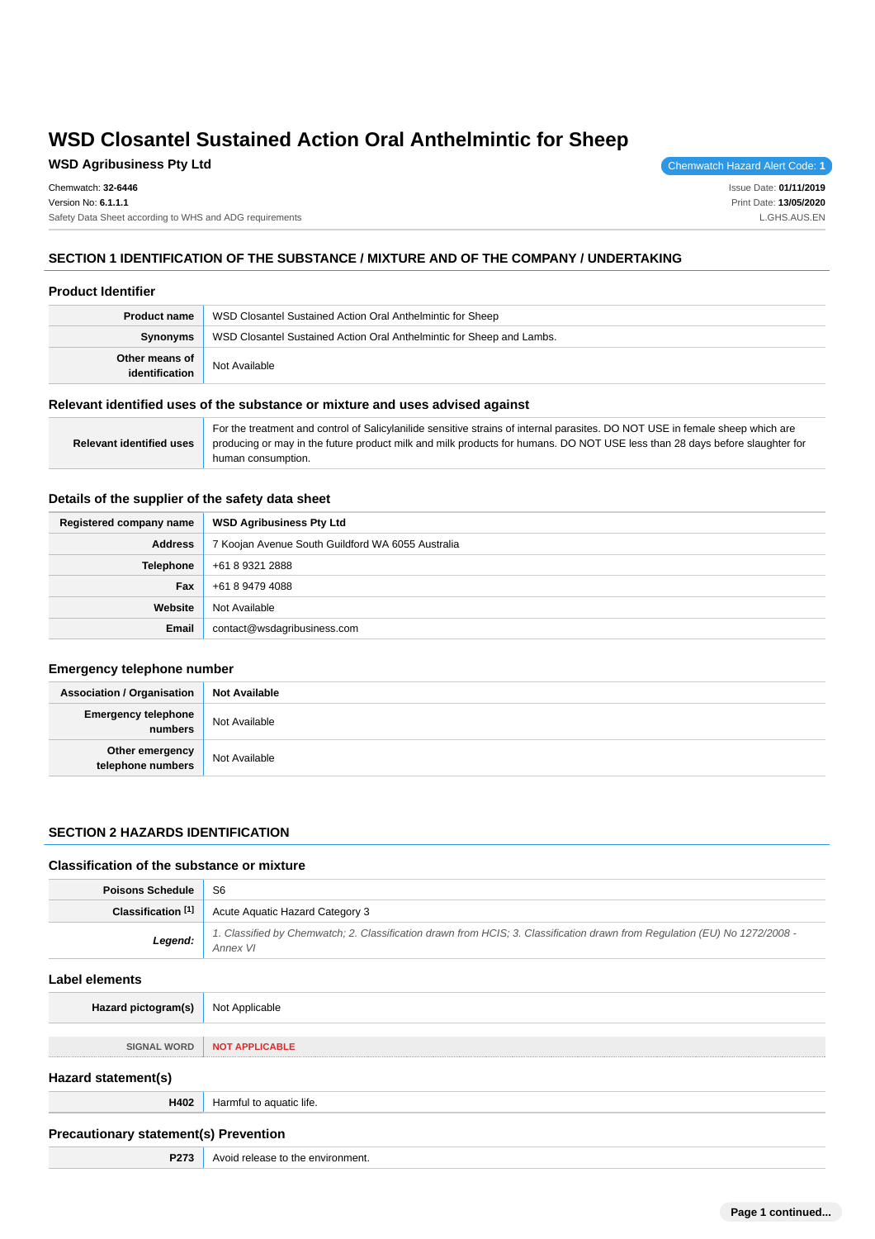# **WSD Agribusiness Pty Ltd Chemwatch Hazard Alert Code: 1**

Chemwatch: **32-6446** Version No: **6.1.1.1** Safety Data Sheet according to WHS and ADG requirements

Issue Date: **01/11/2019** Print Date: **13/05/2020** L.GHS.AUS.EN

# **SECTION 1 IDENTIFICATION OF THE SUBSTANCE / MIXTURE AND OF THE COMPANY / UNDERTAKING**

#### **Product Identifier**

| <b>Product name</b>              | WSD Closantel Sustained Action Oral Anthelmintic for Sheep            |  |  |
|----------------------------------|-----------------------------------------------------------------------|--|--|
| Synonyms                         | WSD Closantel Sustained Action Oral Anthelmintic for Sheep and Lambs. |  |  |
| Other means of<br>identification | Not Available                                                         |  |  |

### **Relevant identified uses of the substance or mixture and uses advised against**

|                                 | For the treatment and control of Salicylanilide sensitive strains of internal parasites. DO NOT USE in female sheep which are |
|---------------------------------|-------------------------------------------------------------------------------------------------------------------------------|
| <b>Relevant identified uses</b> | producing or may in the future product milk and milk products for humans. DO NOT USE less than 28 days before slaughter for   |
|                                 | human consumption.                                                                                                            |

#### **Details of the supplier of the safety data sheet**

| Registered company name | <b>WSD Agribusiness Pty Ltd</b>                   |  |  |
|-------------------------|---------------------------------------------------|--|--|
| <b>Address</b>          | 7 Koojan Avenue South Guildford WA 6055 Australia |  |  |
| Telephone               | +61 8 9321 2888                                   |  |  |
| Fax                     | +61 8 9479 4088                                   |  |  |
| Website                 | Not Available                                     |  |  |
| <b>Email</b>            | contact@wsdagribusiness.com                       |  |  |

### **Emergency telephone number**

| <b>Association / Organisation</b>     | <b>Not Available</b> |
|---------------------------------------|----------------------|
| <b>Emergency telephone</b><br>numbers | Not Available        |
| Other emergency<br>telephone numbers  | Not Available        |

### **SECTION 2 HAZARDS IDENTIFICATION**

### **Classification of the substance or mixture**

| <b>Poisons Schedule</b>                      | S <sub>6</sub>                                                                                                                         |  |  |  |
|----------------------------------------------|----------------------------------------------------------------------------------------------------------------------------------------|--|--|--|
| Classification [1]                           | Acute Aquatic Hazard Category 3                                                                                                        |  |  |  |
| Legend:                                      | 1. Classified by Chemwatch; 2. Classification drawn from HCIS; 3. Classification drawn from Regulation (EU) No 1272/2008 -<br>Annex VI |  |  |  |
| Label elements                               |                                                                                                                                        |  |  |  |
| Hazard pictogram(s)                          | Not Applicable                                                                                                                         |  |  |  |
| <b>SIGNAL WORD</b>                           | <b>NOT APPLICABLE</b>                                                                                                                  |  |  |  |
| Hazard statement(s)                          |                                                                                                                                        |  |  |  |
| H402                                         | Harmful to aquatic life.                                                                                                               |  |  |  |
| <b>Precautionary statement(s) Prevention</b> |                                                                                                                                        |  |  |  |
| P273                                         | Avoid release to the environment.                                                                                                      |  |  |  |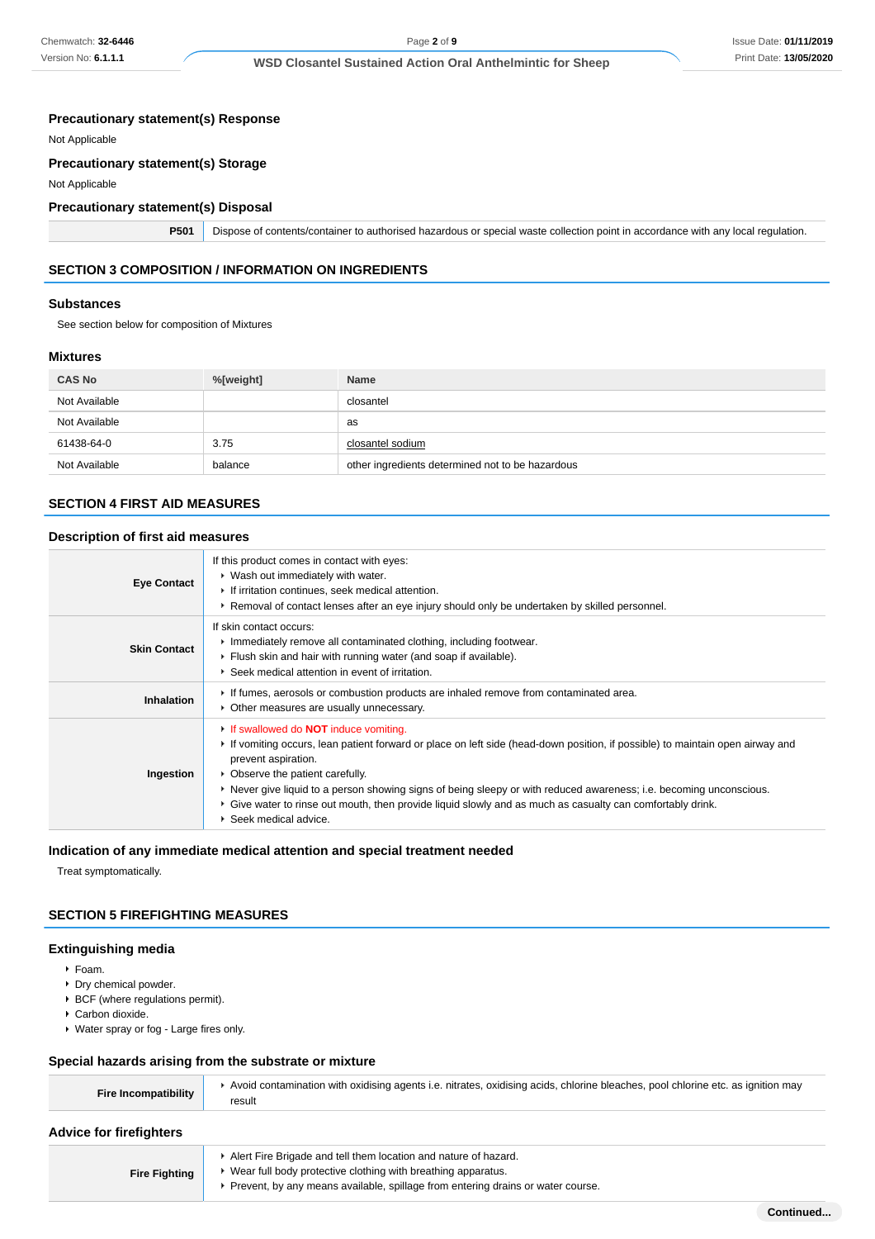### **Precautionary statement(s) Response**

Not Applicable

### **Precautionary statement(s) Storage**

Not Applicable

# **Precautionary statement(s) Disposal**

**P501** Dispose of contents/container to authorised hazardous or special waste collection point in accordance with any local regulation.

# **SECTION 3 COMPOSITION / INFORMATION ON INGREDIENTS**

#### **Substances**

See section below for composition of Mixtures

#### **Mixtures**

| <b>CAS No</b> | %[weight] | <b>Name</b>                                      |
|---------------|-----------|--------------------------------------------------|
| Not Available |           | closantel                                        |
| Not Available |           | as                                               |
| 61438-64-0    | 3.75      | closantel sodium                                 |
| Not Available | balance   | other ingredients determined not to be hazardous |

### **SECTION 4 FIRST AID MEASURES**

### **Description of first aid measures**

| <b>Eye Contact</b>  | If this product comes in contact with eyes:<br>• Wash out immediately with water.<br>If irritation continues, seek medical attention.<br>► Removal of contact lenses after an eye injury should only be undertaken by skilled personnel.                                                                                                                                                                                                                                                            |
|---------------------|-----------------------------------------------------------------------------------------------------------------------------------------------------------------------------------------------------------------------------------------------------------------------------------------------------------------------------------------------------------------------------------------------------------------------------------------------------------------------------------------------------|
| <b>Skin Contact</b> | If skin contact occurs:<br>Inmediately remove all contaminated clothing, including footwear.<br>Flush skin and hair with running water (and soap if available).<br>▶ Seek medical attention in event of irritation.                                                                                                                                                                                                                                                                                 |
| <b>Inhalation</b>   | If fumes, aerosols or combustion products are inhaled remove from contaminated area.<br>• Other measures are usually unnecessary.                                                                                                                                                                                                                                                                                                                                                                   |
| Ingestion           | If swallowed do <b>NOT</b> induce vomiting.<br>If vomiting occurs, lean patient forward or place on left side (head-down position, if possible) to maintain open airway and<br>prevent aspiration.<br>• Observe the patient carefully.<br>► Never give liquid to a person showing signs of being sleepy or with reduced awareness; i.e. becoming unconscious.<br>► Give water to rinse out mouth, then provide liquid slowly and as much as casualty can comfortably drink.<br>Seek medical advice. |

#### **Indication of any immediate medical attention and special treatment needed**

Treat symptomatically.

### **SECTION 5 FIREFIGHTING MEASURES**

#### **Extinguishing media**

- Foam.
- **Dry chemical powder.**
- ▶ BCF (where regulations permit).
- Carbon dioxide.
- Water spray or fog Large fires only.

### **Special hazards arising from the substrate or mixture**

| <b>Fire Incompatibility</b>    | Avoid contamination with oxidising agents i.e. nitrates, oxidising acids, chlorine bleaches, pool chlorine etc. as ignition may<br>result |  |  |  |
|--------------------------------|-------------------------------------------------------------------------------------------------------------------------------------------|--|--|--|
| <b>Advice for firefighters</b> |                                                                                                                                           |  |  |  |
|                                | A Lart Fire Brigade and tell them location and nature of hazard                                                                           |  |  |  |

- **Fire Fighting** Alert Fire Brigade and tell them location and nature of hazard. Wear full body protective clothing with breathing apparatus.
	- Prevent, by any means available, spillage from entering drains or water course.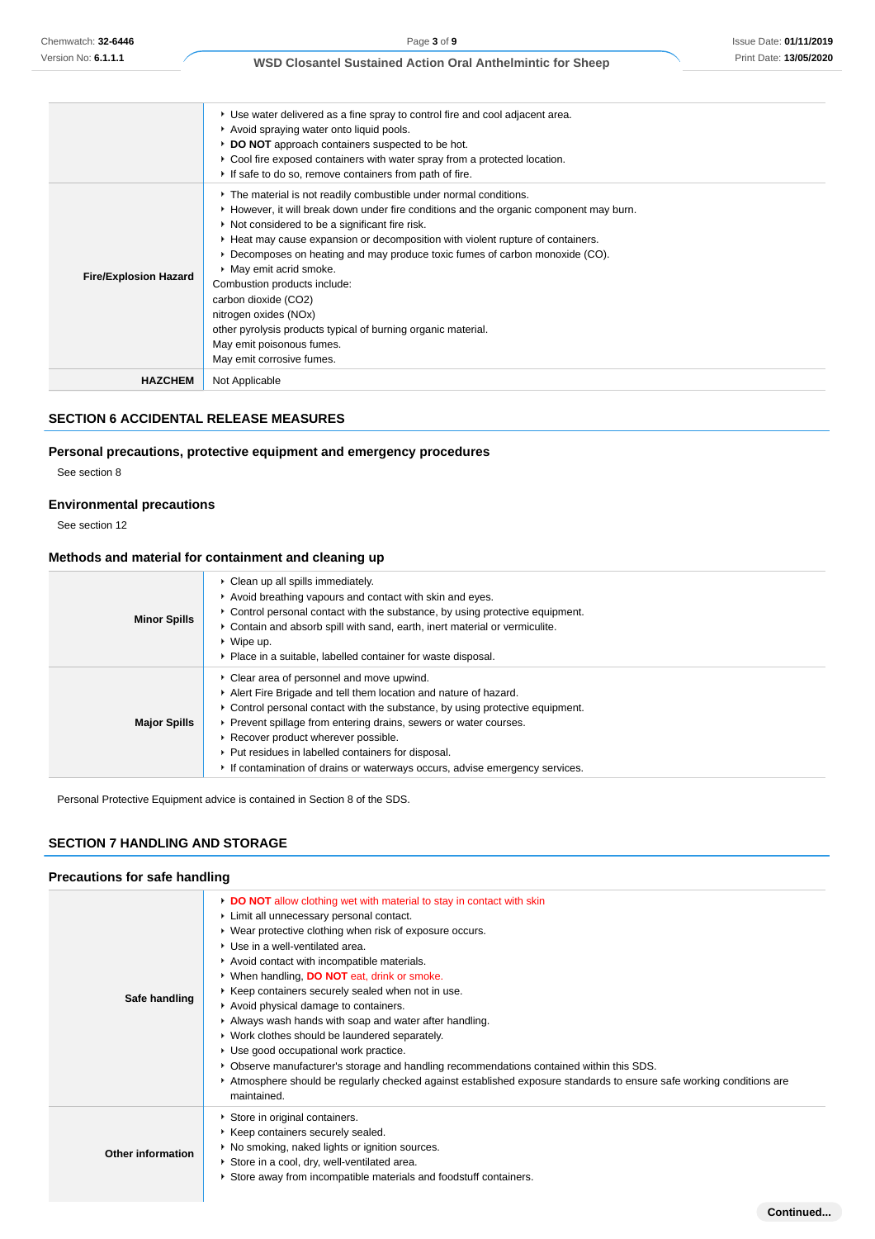|                              | • Use water delivered as a fine spray to control fire and cool adjacent area.<br>Avoid spraying water onto liquid pools.<br>► DO NOT approach containers suspected to be hot.<br>▶ Cool fire exposed containers with water spray from a protected location.<br>If safe to do so, remove containers from path of fire.                                                                                                                                                                                                                                                                                                  |
|------------------------------|------------------------------------------------------------------------------------------------------------------------------------------------------------------------------------------------------------------------------------------------------------------------------------------------------------------------------------------------------------------------------------------------------------------------------------------------------------------------------------------------------------------------------------------------------------------------------------------------------------------------|
| <b>Fire/Explosion Hazard</b> | The material is not readily combustible under normal conditions.<br>► However, it will break down under fire conditions and the organic component may burn.<br>Not considered to be a significant fire risk.<br>► Heat may cause expansion or decomposition with violent rupture of containers.<br>▶ Decomposes on heating and may produce toxic fumes of carbon monoxide (CO).<br>• May emit acrid smoke.<br>Combustion products include:<br>carbon dioxide (CO2)<br>nitrogen oxides (NOx)<br>other pyrolysis products typical of burning organic material.<br>May emit poisonous fumes.<br>May emit corrosive fumes. |
| <b>HAZCHEM</b>               | Not Applicable                                                                                                                                                                                                                                                                                                                                                                                                                                                                                                                                                                                                         |

### **SECTION 6 ACCIDENTAL RELEASE MEASURES**

# **Personal precautions, protective equipment and emergency procedures**

See section 8

# **Environmental precautions**

See section 12

# **Methods and material for containment and cleaning up**

| <b>Minor Spills</b> | • Clean up all spills immediately.<br>Avoid breathing vapours and contact with skin and eyes.<br>► Control personal contact with the substance, by using protective equipment.<br>Contain and absorb spill with sand, earth, inert material or vermiculite.<br>$\triangleright$ Wipe up.<br>• Place in a suitable, labelled container for waste disposal.                                                                                      |
|---------------------|------------------------------------------------------------------------------------------------------------------------------------------------------------------------------------------------------------------------------------------------------------------------------------------------------------------------------------------------------------------------------------------------------------------------------------------------|
| <b>Major Spills</b> | • Clear area of personnel and move upwind.<br>Alert Fire Brigade and tell them location and nature of hazard.<br>► Control personal contact with the substance, by using protective equipment.<br>▶ Prevent spillage from entering drains, sewers or water courses.<br>Recover product wherever possible.<br>▶ Put residues in labelled containers for disposal.<br>If contamination of drains or waterways occurs, advise emergency services. |

Personal Protective Equipment advice is contained in Section 8 of the SDS.

# **SECTION 7 HANDLING AND STORAGE**

# **Precautions for safe handling**

| Safe handling            | DO NOT allow clothing wet with material to stay in contact with skin<br>Limit all unnecessary personal contact.<br>▶ Wear protective clothing when risk of exposure occurs.<br>▶ Use in a well-ventilated area.<br>Avoid contact with incompatible materials.<br>• When handling, <b>DO NOT</b> eat, drink or smoke.<br>▶ Keep containers securely sealed when not in use.<br>Avoid physical damage to containers.<br>Always wash hands with soap and water after handling.<br>• Work clothes should be laundered separately.<br>Use good occupational work practice.<br>▶ Observe manufacturer's storage and handling recommendations contained within this SDS.<br>▶ Atmosphere should be regularly checked against established exposure standards to ensure safe working conditions are<br>maintained. |
|--------------------------|-----------------------------------------------------------------------------------------------------------------------------------------------------------------------------------------------------------------------------------------------------------------------------------------------------------------------------------------------------------------------------------------------------------------------------------------------------------------------------------------------------------------------------------------------------------------------------------------------------------------------------------------------------------------------------------------------------------------------------------------------------------------------------------------------------------|
| <b>Other information</b> | Store in original containers.<br>▶ Keep containers securely sealed.<br>• No smoking, naked lights or ignition sources.<br>Store in a cool, dry, well-ventilated area.<br>Store away from incompatible materials and foodstuff containers.                                                                                                                                                                                                                                                                                                                                                                                                                                                                                                                                                                 |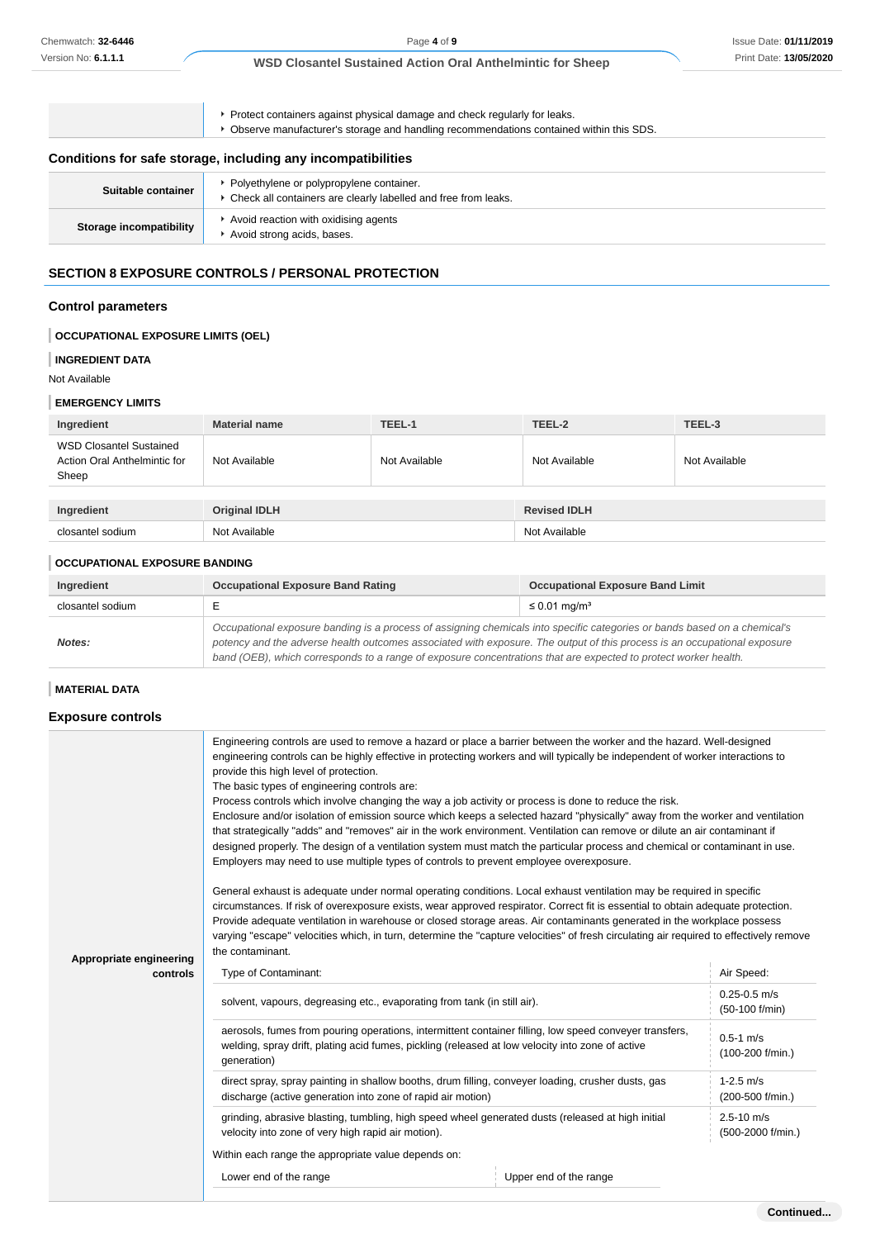Protect containers against physical damage and check regularly for leaks. Observe manufacturer's storage and handling recommendations contained within this SDS. **Conditions for safe storage, including any incompatibilities** Suitable container **Polyethylene or polypropylene container.** Check all containers are clearly labelled and free from leaks. **Storage incompatibility** Avoid reaction with oxidising agents Avoid strong acids, bases.

# **SECTION 8 EXPOSURE CONTROLS / PERSONAL PROTECTION**

# **Control parameters**

# **OCCUPATIONAL EXPOSURE LIMITS (OEL)**

#### **INGREDIENT DATA**

Not Available

#### **EMERGENCY LIMITS**

| Ingredient                                                              | <b>Material name</b> | TEEL-1        | TEEL-2              | TEEL-3        |
|-------------------------------------------------------------------------|----------------------|---------------|---------------------|---------------|
| <b>WSD Closantel Sustained</b><br>Action Oral Anthelmintic for<br>Sheep | Not Available        | Not Available | Not Available       | Not Available |
|                                                                         |                      |               |                     |               |
| Ingredient                                                              | <b>Original IDLH</b> |               | <b>Revised IDLH</b> |               |
| closantel sodium                                                        | Not Available        |               | Not Available       |               |

### **OCCUPATIONAL EXPOSURE BANDING**

| Ingredient       | <b>Occupational Exposure Band Rating</b>                                                                                                                                                                                                                                                                                                                                 | <b>Occupational Exposure Band Limit</b> |
|------------------|--------------------------------------------------------------------------------------------------------------------------------------------------------------------------------------------------------------------------------------------------------------------------------------------------------------------------------------------------------------------------|-----------------------------------------|
| closantel sodium |                                                                                                                                                                                                                                                                                                                                                                          | $\leq$ 0.01 mg/m <sup>3</sup>           |
| Notes:           | Occupational exposure banding is a process of assigning chemicals into specific categories or bands based on a chemical's<br>potency and the adverse health outcomes associated with exposure. The output of this process is an occupational exposure<br>band (OEB), which corresponds to a range of exposure concentrations that are expected to protect worker health. |                                         |

# **MATERIAL DATA**

#### **Exposure controls**

|                                     | Engineering controls are used to remove a hazard or place a barrier between the worker and the hazard. Well-designed<br>engineering controls can be highly effective in protecting workers and will typically be independent of worker interactions to<br>provide this high level of protection.<br>The basic types of engineering controls are:<br>Process controls which involve changing the way a job activity or process is done to reduce the risk.<br>Enclosure and/or isolation of emission source which keeps a selected hazard "physically" away from the worker and ventilation<br>that strategically "adds" and "removes" air in the work environment. Ventilation can remove or dilute an air contaminant if<br>designed properly. The design of a ventilation system must match the particular process and chemical or contaminant in use.<br>Employers may need to use multiple types of controls to prevent employee overexposure.<br>General exhaust is adequate under normal operating conditions. Local exhaust ventilation may be required in specific<br>circumstances. If risk of overexposure exists, wear approved respirator. Correct fit is essential to obtain adequate protection.<br>Provide adequate ventilation in warehouse or closed storage areas. Air contaminants generated in the workplace possess<br>varying "escape" velocities which, in turn, determine the "capture velocities" of fresh circulating air required to effectively remove<br>the contaminant. |                        |                                     |
|-------------------------------------|--------------------------------------------------------------------------------------------------------------------------------------------------------------------------------------------------------------------------------------------------------------------------------------------------------------------------------------------------------------------------------------------------------------------------------------------------------------------------------------------------------------------------------------------------------------------------------------------------------------------------------------------------------------------------------------------------------------------------------------------------------------------------------------------------------------------------------------------------------------------------------------------------------------------------------------------------------------------------------------------------------------------------------------------------------------------------------------------------------------------------------------------------------------------------------------------------------------------------------------------------------------------------------------------------------------------------------------------------------------------------------------------------------------------------------------------------------------------------------------------------------|------------------------|-------------------------------------|
| Appropriate engineering<br>controls | Type of Contaminant:                                                                                                                                                                                                                                                                                                                                                                                                                                                                                                                                                                                                                                                                                                                                                                                                                                                                                                                                                                                                                                                                                                                                                                                                                                                                                                                                                                                                                                                                                   |                        | Air Speed:                          |
|                                     | solvent, vapours, degreasing etc., evaporating from tank (in still air).                                                                                                                                                                                                                                                                                                                                                                                                                                                                                                                                                                                                                                                                                                                                                                                                                                                                                                                                                                                                                                                                                                                                                                                                                                                                                                                                                                                                                               |                        | $0.25 - 0.5$ m/s<br>(50-100 f/min)  |
|                                     | aerosols, fumes from pouring operations, intermittent container filling, low speed conveyer transfers,<br>welding, spray drift, plating acid fumes, pickling (released at low velocity into zone of active<br>generation)                                                                                                                                                                                                                                                                                                                                                                                                                                                                                                                                                                                                                                                                                                                                                                                                                                                                                                                                                                                                                                                                                                                                                                                                                                                                              |                        | $0.5 - 1$ m/s<br>(100-200 f/min.)   |
|                                     | direct spray, spray painting in shallow booths, drum filling, conveyer loading, crusher dusts, gas<br>discharge (active generation into zone of rapid air motion)                                                                                                                                                                                                                                                                                                                                                                                                                                                                                                                                                                                                                                                                                                                                                                                                                                                                                                                                                                                                                                                                                                                                                                                                                                                                                                                                      |                        | $1 - 2.5$ m/s<br>(200-500 f/min.)   |
|                                     | grinding, abrasive blasting, tumbling, high speed wheel generated dusts (released at high initial<br>velocity into zone of very high rapid air motion).                                                                                                                                                                                                                                                                                                                                                                                                                                                                                                                                                                                                                                                                                                                                                                                                                                                                                                                                                                                                                                                                                                                                                                                                                                                                                                                                                |                        | $2.5 - 10$ m/s<br>(500-2000 f/min.) |
|                                     | Within each range the appropriate value depends on:                                                                                                                                                                                                                                                                                                                                                                                                                                                                                                                                                                                                                                                                                                                                                                                                                                                                                                                                                                                                                                                                                                                                                                                                                                                                                                                                                                                                                                                    |                        |                                     |
|                                     | Lower end of the range                                                                                                                                                                                                                                                                                                                                                                                                                                                                                                                                                                                                                                                                                                                                                                                                                                                                                                                                                                                                                                                                                                                                                                                                                                                                                                                                                                                                                                                                                 | Upper end of the range |                                     |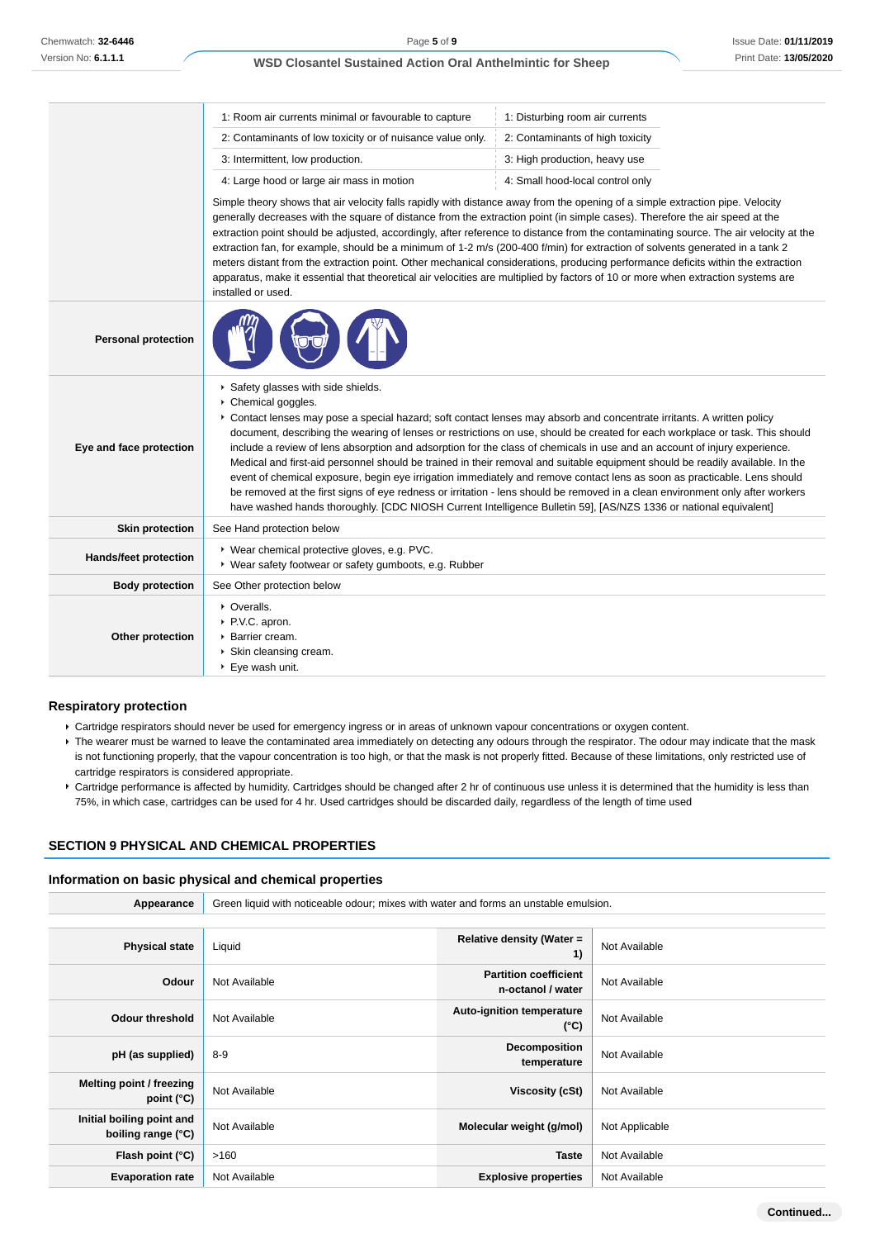|                            | 1: Room air currents minimal or favourable to capture                                                                                                                                                                                                                                                                                                                                                                                                                                                                                                                                                                                                                                                                                                                                                                                                                                                                                                           | 1: Disturbing room air currents  |  |
|----------------------------|-----------------------------------------------------------------------------------------------------------------------------------------------------------------------------------------------------------------------------------------------------------------------------------------------------------------------------------------------------------------------------------------------------------------------------------------------------------------------------------------------------------------------------------------------------------------------------------------------------------------------------------------------------------------------------------------------------------------------------------------------------------------------------------------------------------------------------------------------------------------------------------------------------------------------------------------------------------------|----------------------------------|--|
|                            | 2: Contaminants of low toxicity or of nuisance value only.                                                                                                                                                                                                                                                                                                                                                                                                                                                                                                                                                                                                                                                                                                                                                                                                                                                                                                      | 2: Contaminants of high toxicity |  |
|                            | 3: Intermittent, low production.                                                                                                                                                                                                                                                                                                                                                                                                                                                                                                                                                                                                                                                                                                                                                                                                                                                                                                                                | 3: High production, heavy use    |  |
|                            | 4: Large hood or large air mass in motion                                                                                                                                                                                                                                                                                                                                                                                                                                                                                                                                                                                                                                                                                                                                                                                                                                                                                                                       | 4: Small hood-local control only |  |
|                            | Simple theory shows that air velocity falls rapidly with distance away from the opening of a simple extraction pipe. Velocity<br>generally decreases with the square of distance from the extraction point (in simple cases). Therefore the air speed at the<br>extraction point should be adjusted, accordingly, after reference to distance from the contaminating source. The air velocity at the<br>extraction fan, for example, should be a minimum of 1-2 m/s (200-400 f/min) for extraction of solvents generated in a tank 2<br>meters distant from the extraction point. Other mechanical considerations, producing performance deficits within the extraction<br>apparatus, make it essential that theoretical air velocities are multiplied by factors of 10 or more when extraction systems are<br>installed or used.                                                                                                                               |                                  |  |
| <b>Personal protection</b> |                                                                                                                                                                                                                                                                                                                                                                                                                                                                                                                                                                                                                                                                                                                                                                                                                                                                                                                                                                 |                                  |  |
| Eye and face protection    | Safety glasses with side shields.<br>Chemical goggles.<br>▶ Contact lenses may pose a special hazard; soft contact lenses may absorb and concentrate irritants. A written policy<br>document, describing the wearing of lenses or restrictions on use, should be created for each workplace or task. This should<br>include a review of lens absorption and adsorption for the class of chemicals in use and an account of injury experience.<br>Medical and first-aid personnel should be trained in their removal and suitable equipment should be readily available. In the<br>event of chemical exposure, begin eye irrigation immediately and remove contact lens as soon as practicable. Lens should<br>be removed at the first signs of eye redness or irritation - lens should be removed in a clean environment only after workers<br>have washed hands thoroughly. [CDC NIOSH Current Intelligence Bulletin 59], [AS/NZS 1336 or national equivalent] |                                  |  |
| <b>Skin protection</b>     | See Hand protection below                                                                                                                                                                                                                                                                                                                                                                                                                                                                                                                                                                                                                                                                                                                                                                                                                                                                                                                                       |                                  |  |
| Hands/feet protection      | ▶ Wear chemical protective gloves, e.g. PVC.<br>▶ Wear safety footwear or safety gumboots, e.g. Rubber                                                                                                                                                                                                                                                                                                                                                                                                                                                                                                                                                                                                                                                                                                                                                                                                                                                          |                                  |  |
| <b>Body protection</b>     | See Other protection below                                                                                                                                                                                                                                                                                                                                                                                                                                                                                                                                                                                                                                                                                                                                                                                                                                                                                                                                      |                                  |  |
| Other protection           | • Overalls.<br>▶ P.V.C. apron.<br>Barrier cream.<br>Skin cleansing cream.<br>▶ Eye wash unit.                                                                                                                                                                                                                                                                                                                                                                                                                                                                                                                                                                                                                                                                                                                                                                                                                                                                   |                                  |  |

### **Respiratory protection**

- Cartridge respirators should never be used for emergency ingress or in areas of unknown vapour concentrations or oxygen content.
- ▶ The wearer must be warned to leave the contaminated area immediately on detecting any odours through the respirator. The odour may indicate that the mask is not functioning properly, that the vapour concentration is too high, or that the mask is not properly fitted. Because of these limitations, only restricted use of cartridge respirators is considered appropriate.
- Cartridge performance is affected by humidity. Cartridges should be changed after 2 hr of continuous use unless it is determined that the humidity is less than 75%, in which case, cartridges can be used for 4 hr. Used cartridges should be discarded daily, regardless of the length of time used

### **SECTION 9 PHYSICAL AND CHEMICAL PROPERTIES**

#### **Information on basic physical and chemical properties**

| Appearance                                      | Green liquid with noticeable odour; mixes with water and forms an unstable emulsion. |                                                   |                |
|-------------------------------------------------|--------------------------------------------------------------------------------------|---------------------------------------------------|----------------|
|                                                 |                                                                                      |                                                   |                |
| <b>Physical state</b>                           | Liquid                                                                               | Relative density (Water =<br>1)                   | Not Available  |
| Odour                                           | Not Available                                                                        | <b>Partition coefficient</b><br>n-octanol / water | Not Available  |
| <b>Odour threshold</b>                          | Not Available                                                                        | Auto-ignition temperature<br>$(^{\circ}C)$        | Not Available  |
| pH (as supplied)                                | $8-9$                                                                                | Decomposition<br>temperature                      | Not Available  |
| Melting point / freezing<br>point $(^{\circ}C)$ | Not Available                                                                        | Viscosity (cSt)                                   | Not Available  |
| Initial boiling point and<br>boiling range (°C) | Not Available                                                                        | Molecular weight (g/mol)                          | Not Applicable |
| Flash point (°C)                                | >160                                                                                 | <b>Taste</b>                                      | Not Available  |
| <b>Evaporation rate</b>                         | Not Available                                                                        | <b>Explosive properties</b>                       | Not Available  |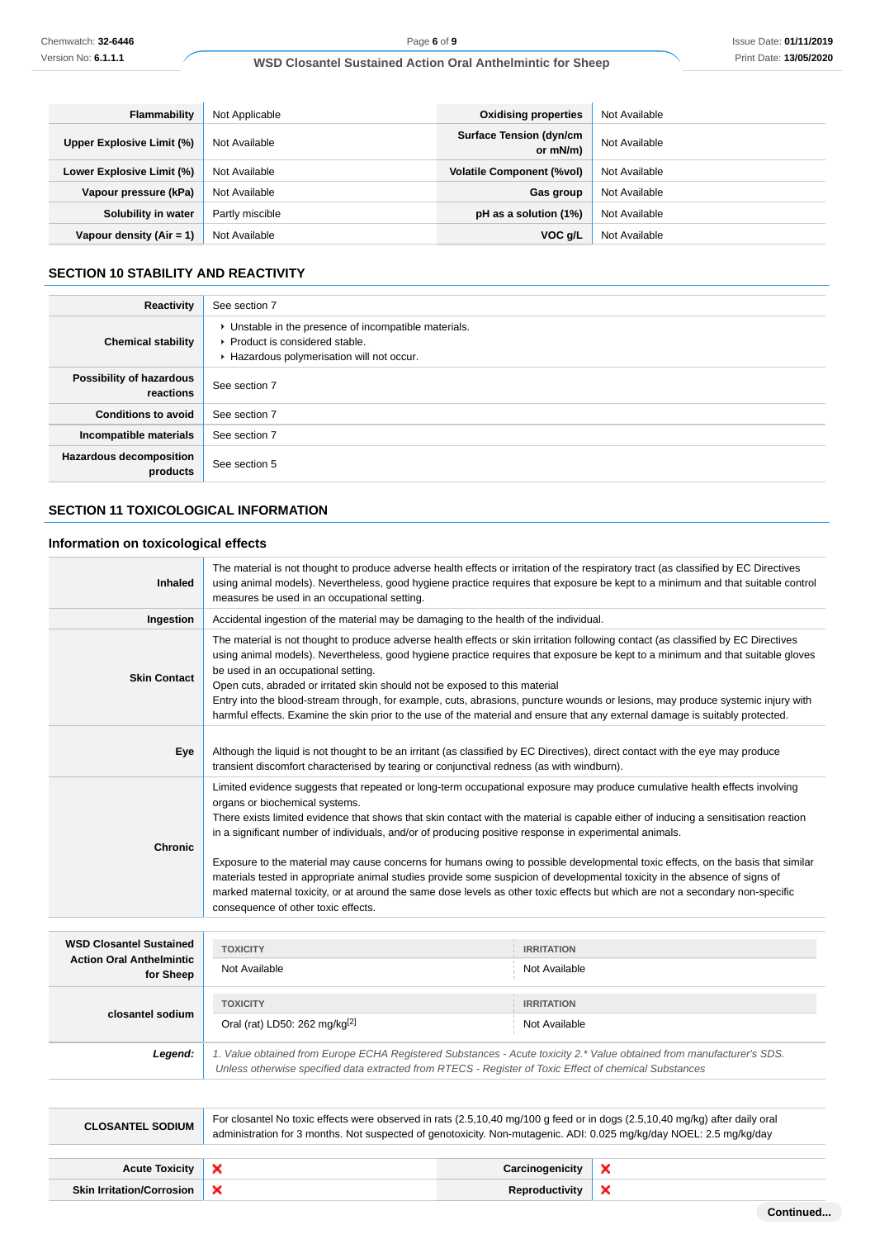| <b>Flammability</b>        | Not Applicable  | <b>Oxidising properties</b>                | Not Available |
|----------------------------|-----------------|--------------------------------------------|---------------|
| Upper Explosive Limit (%)  | Not Available   | <b>Surface Tension (dyn/cm</b><br>or mN/m) | Not Available |
| Lower Explosive Limit (%)  | Not Available   | <b>Volatile Component (%vol)</b>           | Not Available |
| Vapour pressure (kPa)      | Not Available   | Gas group                                  | Not Available |
| Solubility in water        | Partly miscible | pH as a solution (1%)                      | Not Available |
| Vapour density $(Air = 1)$ | Not Available   | VOC g/L                                    | Not Available |

# **SECTION 10 STABILITY AND REACTIVITY**

| Reactivity                                 | See section 7                                                                                                                        |
|--------------------------------------------|--------------------------------------------------------------------------------------------------------------------------------------|
| <b>Chemical stability</b>                  | • Unstable in the presence of incompatible materials.<br>▶ Product is considered stable.<br>Hazardous polymerisation will not occur. |
| Possibility of hazardous<br>reactions      | See section 7                                                                                                                        |
| <b>Conditions to avoid</b>                 | See section 7                                                                                                                        |
| Incompatible materials                     | See section 7                                                                                                                        |
| <b>Hazardous decomposition</b><br>products | See section 5                                                                                                                        |

# **SECTION 11 TOXICOLOGICAL INFORMATION**

# **Information on toxicological effects**

| Inhaled                         | The material is not thought to produce adverse health effects or irritation of the respiratory tract (as classified by EC Directives<br>using animal models). Nevertheless, good hygiene practice requires that exposure be kept to a minimum and that suitable control<br>measures be used in an occupational setting.                                                                                                                                                                                                                                                                                                                                                                                                                                                                                                                                |                                    |   |
|---------------------------------|--------------------------------------------------------------------------------------------------------------------------------------------------------------------------------------------------------------------------------------------------------------------------------------------------------------------------------------------------------------------------------------------------------------------------------------------------------------------------------------------------------------------------------------------------------------------------------------------------------------------------------------------------------------------------------------------------------------------------------------------------------------------------------------------------------------------------------------------------------|------------------------------------|---|
| Ingestion                       | Accidental ingestion of the material may be damaging to the health of the individual.                                                                                                                                                                                                                                                                                                                                                                                                                                                                                                                                                                                                                                                                                                                                                                  |                                    |   |
| <b>Skin Contact</b>             | The material is not thought to produce adverse health effects or skin irritation following contact (as classified by EC Directives<br>using animal models). Nevertheless, good hygiene practice requires that exposure be kept to a minimum and that suitable gloves<br>be used in an occupational setting.<br>Open cuts, abraded or irritated skin should not be exposed to this material<br>Entry into the blood-stream through, for example, cuts, abrasions, puncture wounds or lesions, may produce systemic injury with<br>harmful effects. Examine the skin prior to the use of the material and ensure that any external damage is suitably protected.                                                                                                                                                                                         |                                    |   |
| Eye                             | Although the liquid is not thought to be an irritant (as classified by EC Directives), direct contact with the eye may produce<br>transient discomfort characterised by tearing or conjunctival redness (as with windburn).                                                                                                                                                                                                                                                                                                                                                                                                                                                                                                                                                                                                                            |                                    |   |
| <b>Chronic</b>                  | Limited evidence suggests that repeated or long-term occupational exposure may produce cumulative health effects involving<br>organs or biochemical systems.<br>There exists limited evidence that shows that skin contact with the material is capable either of inducing a sensitisation reaction<br>in a significant number of individuals, and/or of producing positive response in experimental animals.<br>Exposure to the material may cause concerns for humans owing to possible developmental toxic effects, on the basis that similar<br>materials tested in appropriate animal studies provide some suspicion of developmental toxicity in the absence of signs of<br>marked maternal toxicity, or at around the same dose levels as other toxic effects but which are not a secondary non-specific<br>consequence of other toxic effects. |                                    |   |
| <b>WSD Closantel Sustained</b>  |                                                                                                                                                                                                                                                                                                                                                                                                                                                                                                                                                                                                                                                                                                                                                                                                                                                        |                                    |   |
| <b>Action Oral Anthelmintic</b> | <b>TOXICITY</b><br>Not Available                                                                                                                                                                                                                                                                                                                                                                                                                                                                                                                                                                                                                                                                                                                                                                                                                       | <b>IRRITATION</b><br>Not Available |   |
| for Sheep                       |                                                                                                                                                                                                                                                                                                                                                                                                                                                                                                                                                                                                                                                                                                                                                                                                                                                        |                                    |   |
|                                 | <b>TOXICITY</b>                                                                                                                                                                                                                                                                                                                                                                                                                                                                                                                                                                                                                                                                                                                                                                                                                                        | <b>IRRITATION</b>                  |   |
| closantel sodium                | Oral (rat) LD50: 262 mg/kg <sup>[2]</sup>                                                                                                                                                                                                                                                                                                                                                                                                                                                                                                                                                                                                                                                                                                                                                                                                              | Not Available                      |   |
| Legend:                         | 1. Value obtained from Europe ECHA Registered Substances - Acute toxicity 2.* Value obtained from manufacturer's SDS.<br>Unless otherwise specified data extracted from RTECS - Register of Toxic Effect of chemical Substances                                                                                                                                                                                                                                                                                                                                                                                                                                                                                                                                                                                                                        |                                    |   |
|                                 |                                                                                                                                                                                                                                                                                                                                                                                                                                                                                                                                                                                                                                                                                                                                                                                                                                                        |                                    |   |
| <b>CLOSANTEL SODIUM</b>         | For closantel No toxic effects were observed in rats (2.5,10,40 mg/100 g feed or in dogs (2.5,10,40 mg/kg) after daily oral<br>administration for 3 months. Not suspected of genotoxicity. Non-mutagenic. ADI: 0.025 mg/kg/day NOEL: 2.5 mg/kg/day                                                                                                                                                                                                                                                                                                                                                                                                                                                                                                                                                                                                     |                                    |   |
| <b>Acute Toxicity</b>           | ×                                                                                                                                                                                                                                                                                                                                                                                                                                                                                                                                                                                                                                                                                                                                                                                                                                                      | Carcinogenicity                    | × |

**Skin Irritation/Corrosion X Reproductivity** 

 $\pmb{\times}$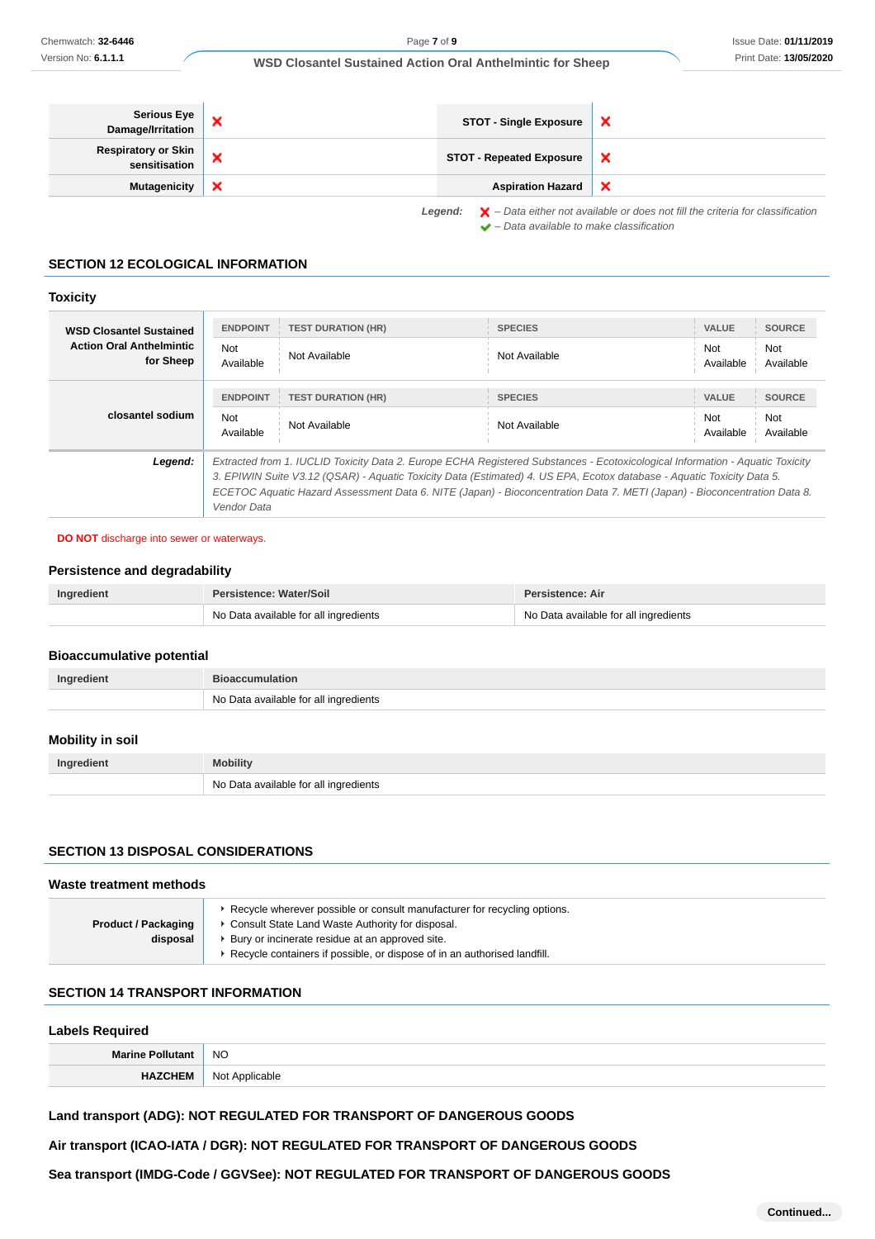| Serious Eye<br>Damage/Irritation     |                                                                                                                                                                           | <b>STOT - Single Exposure</b>   | $\boldsymbol{\mathsf{x}}$ |
|--------------------------------------|---------------------------------------------------------------------------------------------------------------------------------------------------------------------------|---------------------------------|---------------------------|
| Respiratory or Skin<br>sensitisation | ×                                                                                                                                                                         | <b>STOT - Repeated Exposure</b> | ×                         |
| <b>Mutagenicity</b>                  | $\boldsymbol{\mathsf{x}}$                                                                                                                                                 | <b>Aspiration Hazard</b>        | $\boldsymbol{\mathsf{x}}$ |
|                                      | <b>Legend:</b> $\mathbf{X}$ – Data either not available or does not fill the criteria for classification<br>$\blacktriangleright$ - Data available to make classification |                                 |                           |

# **SECTION 12 ECOLOGICAL INFORMATION**

### **Toxicity**

| <b>WSD Closantel Sustained</b><br><b>Action Oral Anthelmintic</b> | <b>ENDPOINT</b><br><b>Not</b>                                                                                                                                                                                                                                     | <b>TEST DURATION (HR)</b>                                                                                                     | <b>SPECIES</b> | VALUE<br>Not     | <b>SOURCE</b><br>Not |
|-------------------------------------------------------------------|-------------------------------------------------------------------------------------------------------------------------------------------------------------------------------------------------------------------------------------------------------------------|-------------------------------------------------------------------------------------------------------------------------------|----------------|------------------|----------------------|
| for Sheep                                                         | Available                                                                                                                                                                                                                                                         | Not Available                                                                                                                 | Not Available  | Available        | Available            |
|                                                                   | <b>ENDPOINT</b>                                                                                                                                                                                                                                                   | <b>TEST DURATION (HR)</b>                                                                                                     | <b>SPECIES</b> | : VALUE          | <b>SOURCE</b>        |
| closantel sodium                                                  | <b>Not</b><br>Available                                                                                                                                                                                                                                           | Not Available                                                                                                                 | Not Available  | Not<br>Available | Not<br>Available     |
| Legend:                                                           |                                                                                                                                                                                                                                                                   | Extracted from 1. IUCLID Toxicity Data 2. Europe ECHA Registered Substances - Ecotoxicological Information - Aguatic Toxicity |                |                  |                      |
|                                                                   | 3. EPIWIN Suite V3.12 (QSAR) - Aquatic Toxicity Data (Estimated) 4. US EPA, Ecotox database - Aquatic Toxicity Data 5.<br>ECETOC Aquatic Hazard Assessment Data 6. NITE (Japan) - Bioconcentration Data 7. METI (Japan) - Bioconcentration Data 8.<br>Vendor Data |                                                                                                                               |                |                  |                      |

#### **DO NOT** discharge into sewer or waterways.

# **Persistence and degradability**

| Ingredient | Persistence: Water/Soil               | <b>Persistence: Air</b>               |
|------------|---------------------------------------|---------------------------------------|
|            | No Data available for all ingredients | No Data available for all ingredients |

### **Bioaccumulative potential**

| Ingredient | <b>Bioaccumulation</b>                |
|------------|---------------------------------------|
|            | No Data available for all ingredients |

# **Mobility in soil**

| Ingredient | <b>Mobility</b>                       |
|------------|---------------------------------------|
|            | No Data available for all ingredients |

### **SECTION 13 DISPOSAL CONSIDERATIONS**

### **Waste treatment methods**

| <b>Product / Packaging</b> | ► Recycle wherever possible or consult manufacturer for recycling options.<br>• Consult State Land Waste Authority for disposal. |  |
|----------------------------|----------------------------------------------------------------------------------------------------------------------------------|--|
| disposal                   | ▶ Bury or incinerate residue at an approved site.                                                                                |  |
|                            | ▶ Recycle containers if possible, or dispose of in an authorised landfill.                                                       |  |

# **SECTION 14 TRANSPORT INFORMATION**

# **Labels Required**

| Marino.                                                                                | <b>NO</b>                          |
|----------------------------------------------------------------------------------------|------------------------------------|
| : M<br>the contract of the contract of the contract of the contract of the contract of | Not<br>Annlicable<br>$\sim$ $\sim$ |

# **Land transport (ADG): NOT REGULATED FOR TRANSPORT OF DANGEROUS GOODS**

**Air transport (ICAO-IATA / DGR): NOT REGULATED FOR TRANSPORT OF DANGEROUS GOODS**

**Sea transport (IMDG-Code / GGVSee): NOT REGULATED FOR TRANSPORT OF DANGEROUS GOODS**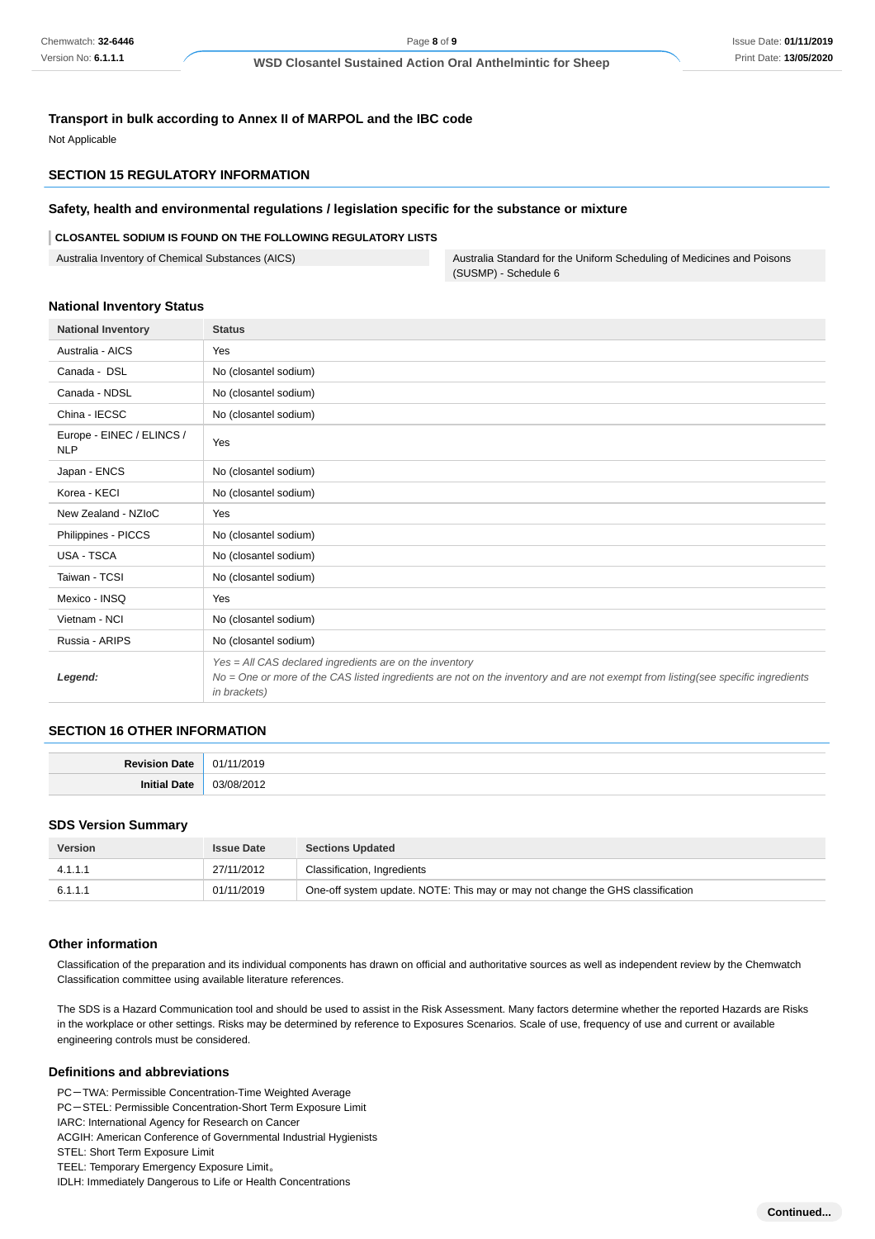### **Transport in bulk according to Annex II of MARPOL and the IBC code**

Not Applicable

# **SECTION 15 REGULATORY INFORMATION**

#### **Safety, health and environmental regulations / legislation specific for the substance or mixture**

#### **CLOSANTEL SODIUM IS FOUND ON THE FOLLOWING REGULATORY LISTS**

Australia Inventory of Chemical Substances (AICS) Australia Standard for the Uniform Scheduling of Medicines and Poisons (SUSMP) - Schedule 6

#### **National Inventory Status**

| <b>National Inventory</b>               | <b>Status</b>                                                                                                                                                                                               |  |  |
|-----------------------------------------|-------------------------------------------------------------------------------------------------------------------------------------------------------------------------------------------------------------|--|--|
| Australia - AICS                        | Yes                                                                                                                                                                                                         |  |  |
| Canada - DSL                            | No (closantel sodium)                                                                                                                                                                                       |  |  |
| Canada - NDSL                           | No (closantel sodium)                                                                                                                                                                                       |  |  |
| China - IECSC                           | No (closantel sodium)                                                                                                                                                                                       |  |  |
| Europe - EINEC / ELINCS /<br><b>NLP</b> | Yes                                                                                                                                                                                                         |  |  |
| Japan - ENCS                            | No (closantel sodium)                                                                                                                                                                                       |  |  |
| Korea - KECI                            | No (closantel sodium)                                                                                                                                                                                       |  |  |
| New Zealand - NZIoC                     | Yes                                                                                                                                                                                                         |  |  |
| Philippines - PICCS                     | No (closantel sodium)                                                                                                                                                                                       |  |  |
| USA - TSCA                              | No (closantel sodium)                                                                                                                                                                                       |  |  |
| Taiwan - TCSI                           | No (closantel sodium)                                                                                                                                                                                       |  |  |
| Mexico - INSQ                           | Yes                                                                                                                                                                                                         |  |  |
| Vietnam - NCI                           | No (closantel sodium)                                                                                                                                                                                       |  |  |
| Russia - ARIPS                          | No (closantel sodium)                                                                                                                                                                                       |  |  |
| Legend:                                 | Yes = All CAS declared ingredients are on the inventory<br>No = One or more of the CAS listed ingredients are not on the inventory and are not exempt from listing(see specific ingredients<br>in brackets) |  |  |

#### **SECTION 16 OTHER INFORMATION**

| <b>Dovie</b><br>Date         |        |
|------------------------------|--------|
| $\cdots$<br>Init<br>Date<br> | $\sim$ |

#### **SDS Version Summary**

| <b>Version</b> | <b>Issue Date</b> | <b>Sections Updated</b>                                                        |
|----------------|-------------------|--------------------------------------------------------------------------------|
| 4.1.1.1        | 27/11/2012        | Classification, Ingredients                                                    |
| 6.1.1.1        | 01/11/2019        | One-off system update. NOTE: This may or may not change the GHS classification |

#### **Other information**

Classification of the preparation and its individual components has drawn on official and authoritative sources as well as independent review by the Chemwatch Classification committee using available literature references.

The SDS is a Hazard Communication tool and should be used to assist in the Risk Assessment. Many factors determine whether the reported Hazards are Risks in the workplace or other settings. Risks may be determined by reference to Exposures Scenarios. Scale of use, frequency of use and current or available engineering controls must be considered.

#### **Definitions and abbreviations**

- PC-TWA: Permissible Concentration-Time Weighted Average
- PC-STEL: Permissible Concentration-Short Term Exposure Limit
- IARC: International Agency for Research on Cancer
- ACGIH: American Conference of Governmental Industrial Hygienists
- STEL: Short Term Exposure Limit
- TEEL: Temporary Emergency Exposure Limit。
- IDLH: Immediately Dangerous to Life or Health Concentrations